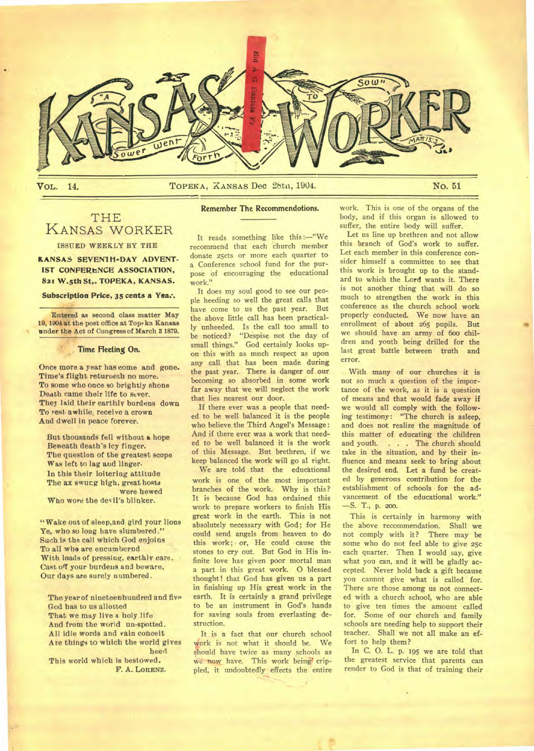

#### **VOL.** 14. **No. 51 DECA, KANSAS Dec** 28th, 1904. **No. 51**

## THE KANSAS WORKER ISSUED WEEKLY BY THE

**KANSAS SEVENTH-DAY ADVENT-IST CONFERENCE ASSOCIATION, 821 W.5th St,. TOPEKA, KANSAS.** 

**Subscription Price, 35 cents a Yea:.** 

Entered as second class matter May 19, 1904 at the post office at Topeka Kansas under the Act of Congress of March 3 1879.

#### **Time Fleeting On.**

Once more a year has come and gone. Time's flight returneth no more. To some who once so brightly shone Death came their life to sever. They laid their earthly burdens down To rest awhile, receive a crown And dwell in peace forever.

But thousands fell without a hope Beneath death's icy finger. The question of the greatest scope Was left to lag and linger. In this their loitering attitude The ax swucg high, great hosts were hewed

Who wore the devil's blinker.

"Wake out of sleep, and gird your lions Ye, who so long have slumbered." Such is the call which God enjoins To all who are encumbernd With loads of pressing, earthly care. Cast off your burdens and beware, Our days are surely numbered.

The year of nineteenhundred and five God has to us allotted That we may live a holy life And from the world un-spotted. All idle words and vain conceit Are things to which the world gives heed This world which is bestowed. F. A. **LORENZ.** 

#### **Remember The Recommendotions.**

It reads something like this :—"We recommend that each church member donate 25cts or more each quarter to a Conference school fund for the purpose of encouraging the educational work."

It does my soul good to see our people heeding so well the great calls that have come to us the past year. But the above little call has been practically unheeded. Is the call too small to be noticed? "Despise not the day of small things." God certainly looks upon this with as much respect as upon any call that has been made during the past year. There is danger of our becoming so absorbed in some work far away that we will neglect the work that lies nearest our door.

If there ever was a people that needed to be well balanced it is the people who believe the Third Angel's Message: And if there ever was a work that needed to be well balanced it is the work of this Message. But brethren, if we keep balanced the work will go al right.

We are told that the educational work is one of the most important branches of the work. Why is this? It is because God has ordained this work to prepare workers to finish His great work in the earth. This is not absolutely necessary with God; for He could send angels from heaven to do this work; or, He could cause the stones to cry out. But God in His infinite love has given poor mortal man a part in this great work. 0 blessed thought! that God has given us a part in finishing up His great work in the earth. It is certainly a grand privilege to be an instrument in God's hands for saving souls from everlasting destruction.

It is a fact that our church school work is not what it should be. We should have twice as many schools as we now have. This work being crippled, it undoubtedly effects the entire work. This is one of the organs of the body, and if this organ is allowed to suffer, the entire body will suffer.

Let us line up brethren and not allow this branch of God's work to suffer. Let each member in this conference consider himself a committee to see that this work is brought up to the standard to which the Lord wants it. There is not another thing that will do so much to strengthen the work in this conference as the church school work properly conducted. We now have an enrollment of about 265 pupils. But we should have an army of 600 children and youth being drilled for the last great battle between truth and error.

With many of our churches it is not so much a question of the importance of the work, as it is a question of means and that would fade away if we would all comply with the following testimony: "The church is asleep, and does not realize the magnitude of this matter of educating the children and youth. . . . The church should take in the situation, and by their influence and means seek to bring about the desired end. Let a fund be created by generous contribution for the establishment of schools for the advancement of the educational work." —S. T., p. 200.

This is certainly in harmony with the above recommendation. Shall we not comply with it? There may be some who do not feel able to give 25c each quarter. Then I would say, give what you can, and it will be gladly accepted. Never hold back a gift because you cannot give what is called for. There are those among us not connected with a church school, who are able to give ten times the amount called for. Some of our church and family schools are needing help to support their teacher. Shall we not all make an effort to help them?

In C. 0. L. p. 195 we are told that the greatest service that parents can render to God is that of training their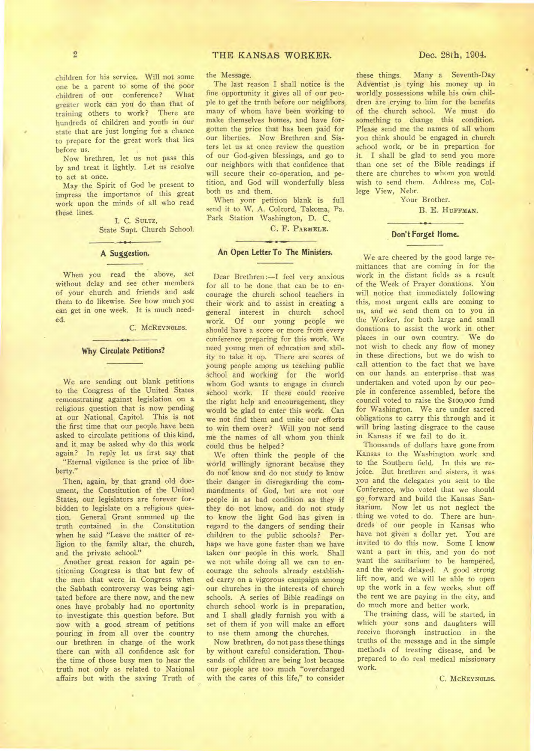children for his service. Will not some one be a parent to some of the poor children of our conference? What greater work can you do than that of training others to work? There are hundreds of children and youth in our state that are just longing for a chance to prepare for the great work that lies before us.

Now brethren, let us not pass this by and treat it lightly. Let us resolve to act at once.

May the Spirit of God be present to impress the importance of this great work upon the minds of all who read these lines.

I. C. SULTZ, State Supt. Church School.

#### A Suggestion.

When you read the above, act without delay and see other members of your church and friends and ask them to do likewise. See how much you can get in one week. It is much needed.

C. MCREYNOLDS.

#### **Why Circulate Petitions?**

We are sending out blank petitions to the Congress of the United States remonstrating against legislation on a religious question that is now pending at our National Capitol. This is not the first time that our people have been asked to circulate petitions of this kind, and it may be asked why do this work again? In reply let us first say that "Eternal vigilence is the price of lib-

berty."

Then, again, by that grand old document, the Constitution of the United States, our legislators are forever forbidden to legislate on a religious question. General Grant summed up the truth contained in the Constitution when he said "Leave the matter of religion to the family altar, the church, and the private school."

Another great reason for again petitioning Congress is that but few of the men that were in Congress when the Sabbath controversy was being agitated before are there now, and the new ones have probably had no oportunity to investigate this question before. But now with a good stream of petitions pouring in from all over the country our brethren in charge of the work there can with all confidence ask for the time of those busy men to hear the truth not only as related to National affairs but with the saving Truth of

### 2 **THE KANSAS WORKER.** Dec. 28th, 1904.

the Message.

The last reason I shall notice is the fine opportunity it gives all of our people to get the truth before our neighbors many of whom have been working to make themselves homes, and have forgotten the price that has been paid for our liberties. Now Brethren and Sisters let us at once review the question of our God-given blessings, and go to our neighbors with that confidence that will secure their co-operation, and petition, and God will wonderfully bless both us and them.

When your petition blank is full send it to W. A. Colcord, Takoma, Pa. Park Station Washington, D. C.,

C. F. **PARMELE.** 

#### **An Open Letter To The Ministers.**

Dear Brethren :—I feel very anxious for all to be done that can be to encourage the church school teachers in their work and to assist in creating a<br>general interest in church school general interest in church work. Of our young people we should have a score or more from every conference preparing for this work. We need young men of education and ability to take it up. There are scores of young people among us teaching public school and working for the world whom God wants to engage in church school work. If these could receive the right help and encouragement, they would be glad to enter this work. Can we not find them and unite our efforts to win them over? Will you not send me the names of all whom you think could thus be helped?

We often think the people of the world willingly ignorant because they do not know and do not study to know their danger in disregarding the commandments of God, but are not our people in as bad condition as they if they do not know, and do not study to know the light God has given in regard to the dangers of sending their children to the public schools? Perhaps we have gone faster than we have taken our people in this work. Shall we not while doing all we can to encourage the schools already established carry on a vigorous campaign among our churches in the interests of church schools. A series of Bible readings on church school work is in preparation, and I shall gladly furnish you with a set of them if you will make an effort to use them among the churches.

Now brethren, do not pass these things by without careful consideration. Thousands of children are being lost because our people are too much "overcharged with the cares of this life," to consider

these things. Many a Seventh-Day Adventist is tying his money up in worldly possessions while his own children are crying to him for the benefits of the church school. We must do something to change this condition. Please send me the names of all whom you think should be engaged in church school work, or be in prepartion for it. I shall be glad to send you more than one set of the Bible readings if there are churches to whom you would wish to send them. Address me, College View, Nebr.

Your Brother.

B. E. **HUFFMAN.** 

**Don't Forget Home.** 

We are cheered by the good large remittances that are coming in for the work in the distant fields as a result of the Week of Prayer donations. You will notice that immediately following this, most urgent calls are coming to us, and we send them on to you in the Worker, for both large and small donations to assist the work in other places in our own country. We do not wish to check any flow of money in these directions, but we do wish to call attention to the fact that we have on our hands an enterprise that was undertaken and voted upon by our people in conference assembled, before the council voted to raise the \$1oo,000 fund for Washington. We are under sacred obligations to carry this through and it will bring lasting disgrace to the cause in Kansas if we fail to do it.

Thousands of dollars have gone from Kansas to the Washington work and to the Southern field. In this we rejoice. But brethren and sisters, it was you and the delegates you sent to the Conference, who voted that we should go forward and build the Kansas Sanitarium. Now let us not neglect the thing we voted to do. There are hundreds of our people in Kansas who have not given a dollar yet. You are invited to do this now. Some I know want a part in this, and you do not want the sanitarium to be hampered, and the work delayed. A good strong lift now, and we will be able to open up the work in a few weeks, shut off the rent we are paying in the city, and do much more and better work.

The training class, will be started, in which your sons and daughters will receive thorough instruction in the truths of the message and in the simple methods of treating disease, and be prepared to do real medical missionary work.

C. MCREYNOLDS.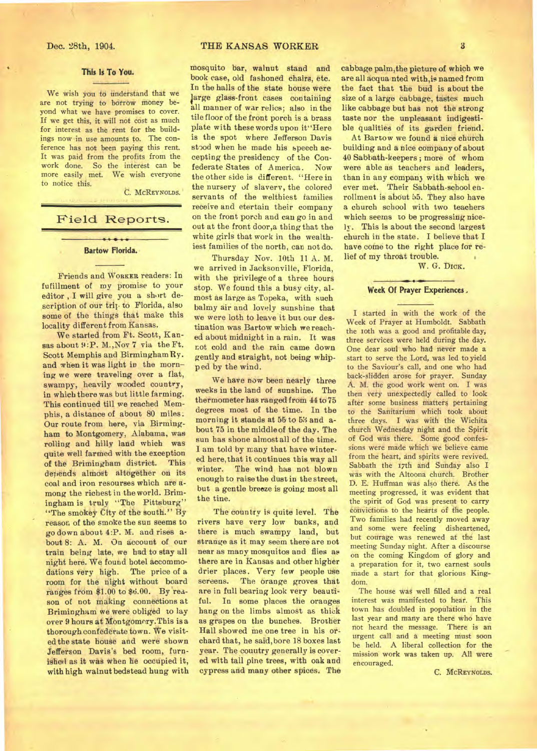#### **This Is To You.**

We wish you to understand that we are not trying to borrow money beyond what we have promises to cover. If we get this, it will not cost as much for interest as the rent for the buildings now in use amounts to. The conference has not been paying this rent. It was paid from the profits from the work done. So the interest can be more easily met. We wish everyone to notice this.

C. MCREYNOLDS.

#### Field Reports.

#### $\overline{\phantom{a}}$ **Bartow Florida.**

Friends and WORKER readers: In fufillment of my promise to your editor , I will give you a short description of our trip to Florida, also some of the things that make this locality different from Kansas.

We started from Ft. Scott, Kansas about 9:P. M., Nov 7 via the Ft. Scott Memphis and BirminghamRy. and when it was light in the morning we were traveling over a flat, swampy, heavily wooded country, in which there was but little farming. This continued till we reached Memphis, a distance of about 80 miles. Our route from here, via Birmingham to Montgomery, Alabama, was rolling and hilly land which was quite well farmed with the exception of the Brimingham district. This depends almost altogether on its coal and iron resourses which are among the richest in the world. Brimingham is truly "The Pittsburg" "The smokey City of the south." By reason of the smoke the sun seems to go down about 4:P. M. and rises about 8: A. M. On account of our train being late, we had to stay all night here. We found hotel accommodations very high. The price of a room for the night without board ranges from \$1.00 to \$6.00. By reason of not making connections at Brimingham we were obliged to lay over 9 hours at Montgomery.This is a thorough confederate town. We visited the state house and were shown Jefferson Davis's bed room, furnished as it was when he occupied it, with high walnut bedstead hung with

mosquito bar, walnut stand and book ease, old fashoned chairs, etc. In the halls of the state house were i arge glass-front cases containing all manner of war relics; also in the tile floor of the front porch is a brass plate with these words upon it"Here is the spot where Jefferson Davis stood when he made his speech accepting the presidency of the Confederate States of America. Now the other side is different. "Here in the nursery of slavery, the colored servants of the welthiest families receive and etertain their company on the front porch and can go in and out at the front door,a thing that the white girls that work in the wealthiest families of the north, can not do.

Thursday Nov. 10th 11 A. M. we arrived in Jacksonville, Florida, with the privilege of a three hours stop. We found this a busy city, almost as large as Topeka, with such balmy air and lovely sunshine that we were loth to leave it but our destination was Bartow which we reached about midnight in a rain. It was not cold and the rain came down gently and straight, not being whipped by the wind.

We have *now* been nearly three weeks in the land of sunshine. The thermometer has ranged from 44 to 75 degrees most of the time. In the morning it stands at 55 to 53 and about 75 in the middle of the day. The sun has shone almost all of the time. I am told by many that have wintered here, that it continues this way all winter. The wind has not blown enough to raise the dust in the street, but a gentle breeze is going most all the tine.

The country is quite level. The rivers have very low banks, and there is much swampy land, but strange as it may seem there are not near as many mosquitos and flies as there are in Kansas and other higher drier places. Very few people use screens. The orange groves that are in full bearing look very beautiful. In some places the oranges hang on the limbs almost as thick as grapes on the bunches. Brother Hall showed me one tree in his orchard that, he said, bore 18 boxes last year. The couutry generally is covered with tall pine trees, with oak and cypress and many other spices. The

cabbage palm,the picture of which we are all acqua nted with,is named from the fact that the bud is about the size of a large cabbage, tastes much like cabbage but has not the strong taste nor the unpleasant indigestible qualities of its garden friend.

At Bartow we found **a** nice church building and a nice company of about 40 Sabbath-keepers ; more of whom were able as teachers and leaders, than in any company with which we ever met. Their Sabbath-school enrollment is about 55. They also have a church school with two teachers which seems to be progressing nicely. This is about the second largest church in the state. I believe that I have come to the right place for relief of my throat trouble.

W. G. DICK.

#### **Week Of Prayer Experiences**

I started in with the work of the Week of Prayer at Humboldt. Sabbath the 10th was a good and profitable day, three services were held during the day. One dear soul who had never made a start to serve the Lord, was led to yield to the Saviour's call, and one who had back-slidden arose for prayer. Sunday A. M. the good work went on. I was then very unexpectedly called to look after some business matters pertaining to the Sanitarium which took about three days. I was with the Wichita church Wednesday night and the Spirit of God was there. Some good confessions were made which we believe came from the heart, and spirits were revived. Sabbath the 17th and Sunday also I was with the Altoona church. Brother D. E. Huffman was also there. As the meeting progressed, it was evident that the spirit of God was present to carry convictions to the hearts of the people. Two families had recently moved away and some were feeling disheartened, but courage was renewed at the last meeting Sunday night. After a discourse on the coming Kingdom of glory and a preparation for it, two earnest souls made a start for that glorious Kingdom.

The house was well filled and a real interest was manifested to hear. This town has doubled in population in the last year and many are there who have not heard the message. There is an urgent call and **a** meeting must soon be held. A liberal collection for the mission work was taken up. All were encouraged.

C. MCREYNOLDS.